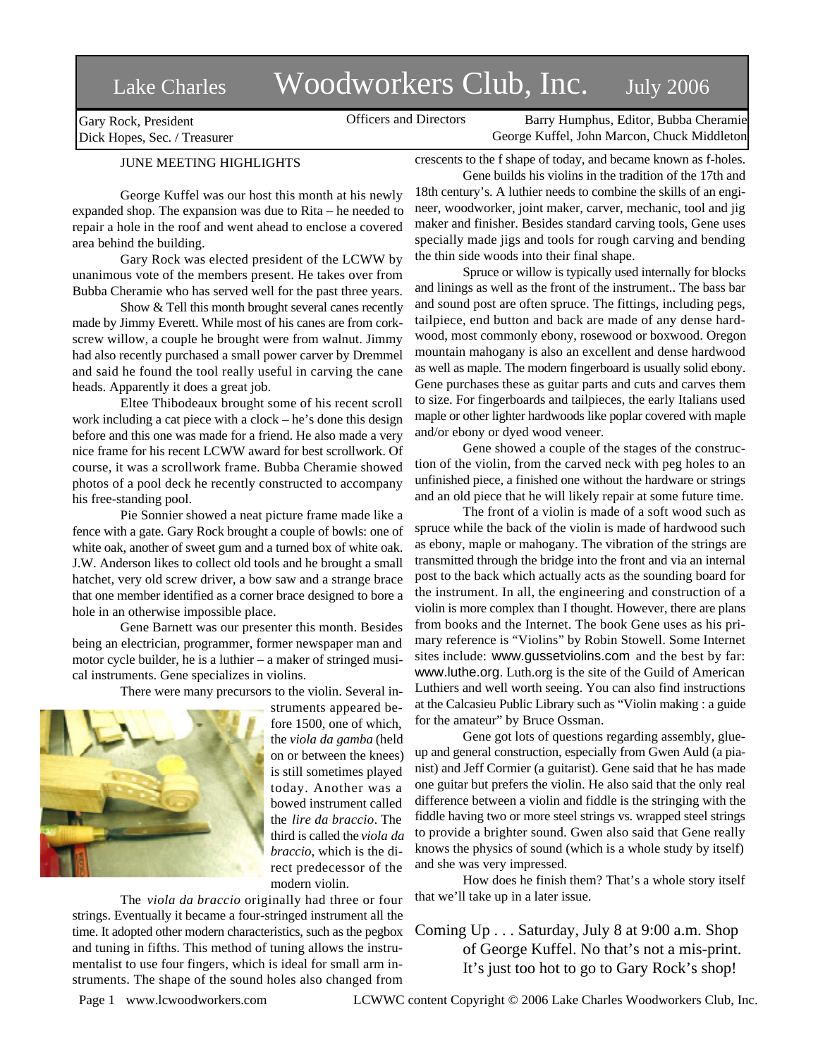# Lake Charles Woodworkers Club, Inc. July 2006

Officers and Directors Barry Humphus, Editor, Bubba Cheramie George Kuffel, John Marcon, Chuck Middleton

Gary Rock, President Dick Hopes, Sec. / Treasurer

## JUNE MEETING HIGHLIGHTS

George Kuffel was our host this month at his newly expanded shop. The expansion was due to Rita – he needed to repair a hole in the roof and went ahead to enclose a covered area behind the building.

Gary Rock was elected president of the LCWW by unanimous vote of the members present. He takes over from Bubba Cheramie who has served well for the past three years.

Show & Tell this month brought several canes recently made by Jimmy Everett. While most of his canes are from corkscrew willow, a couple he brought were from walnut. Jimmy had also recently purchased a small power carver by Dremmel and said he found the tool really useful in carving the cane heads. Apparently it does a great job.

Eltee Thibodeaux brought some of his recent scroll work including a cat piece with a clock – he's done this design before and this one was made for a friend. He also made a very nice frame for his recent LCWW award for best scrollwork. Of course, it was a scrollwork frame. Bubba Cheramie showed photos of a pool deck he recently constructed to accompany his free-standing pool.

Pie Sonnier showed a neat picture frame made like a fence with a gate. Gary Rock brought a couple of bowls: one of white oak, another of sweet gum and a turned box of white oak. J.W. Anderson likes to collect old tools and he brought a small hatchet, very old screw driver, a bow saw and a strange brace that one member identified as a corner brace designed to bore a hole in an otherwise impossible place.

Gene Barnett was our presenter this month. Besides being an electrician, programmer, former newspaper man and motor cycle builder, he is a luthier – a maker of stringed musical instruments. Gene specializes in violins.

There were many precursors to the violin. Several in-



struments appeared before 1500, one of which, the *viola da gamba* (held on or between the knees) is still sometimes played today. Another was a bowed instrument called the *lire da braccio*. The third is called the *viola da braccio*, which is the direct predecessor of the modern violin.

The *viola da braccio* originally had three or four strings. Eventually it became a four-stringed instrument all the time. It adopted other modern characteristics, such as the pegbox and tuning in fifths. This method of tuning allows the instrumentalist to use four fingers, which is ideal for small arm instruments. The shape of the sound holes also changed from

crescents to the f shape of today, and became known as f-holes. Gene builds his violins in the tradition of the 17th and

18th century's. A luthier needs to combine the skills of an engineer, woodworker, joint maker, carver, mechanic, tool and jig maker and finisher. Besides standard carving tools, Gene uses specially made jigs and tools for rough carving and bending the thin side woods into their final shape.

Spruce or willow is typically used internally for blocks and linings as well as the front of the instrument.. The bass bar and sound post are often spruce. The fittings, including pegs, tailpiece, end button and back are made of any dense hardwood, most commonly ebony, rosewood or boxwood. Oregon mountain mahogany is also an excellent and dense hardwood as well as maple. The modern fingerboard is usually solid ebony. Gene purchases these as guitar parts and cuts and carves them to size. For fingerboards and tailpieces, the early Italians used maple or other lighter hardwoods like poplar covered with maple and/or ebony or dyed wood veneer.

Gene showed a couple of the stages of the construction of the violin, from the carved neck with peg holes to an unfinished piece, a finished one without the hardware or strings and an old piece that he will likely repair at some future time.

The front of a violin is made of a soft wood such as spruce while the back of the violin is made of hardwood such as ebony, maple or mahogany. The vibration of the strings are transmitted through the bridge into the front and via an internal post to the back which actually acts as the sounding board for the instrument. In all, the engineering and construction of a violin is more complex than I thought. However, there are plans from books and the Internet. The book Gene uses as his primary reference is "Violins" by Robin Stowell. Some Internet sites include: www.gussetviolins.com and the best by far: www.luthe.org. Luth.org is the site of the Guild of American Luthiers and well worth seeing. You can also find instructions at the Calcasieu Public Library such as "Violin making : a guide for the amateur" by Bruce Ossman.

Gene got lots of questions regarding assembly, glueup and general construction, especially from Gwen Auld (a pianist) and Jeff Cormier (a guitarist). Gene said that he has made one guitar but prefers the violin. He also said that the only real difference between a violin and fiddle is the stringing with the fiddle having two or more steel strings vs. wrapped steel strings to provide a brighter sound. Gwen also said that Gene really knows the physics of sound (which is a whole study by itself) and she was very impressed.

How does he finish them? That's a whole story itself that we'll take up in a later issue.

Coming Up . . . Saturday, July 8 at 9:00 a.m. Shop of George Kuffel. No that's not a mis-print. It's just too hot to go to Gary Rock's shop!

Page 1 www.lcwoodworkers.com LCWWC content Copyright © 2006 Lake Charles Woodworkers Club, Inc.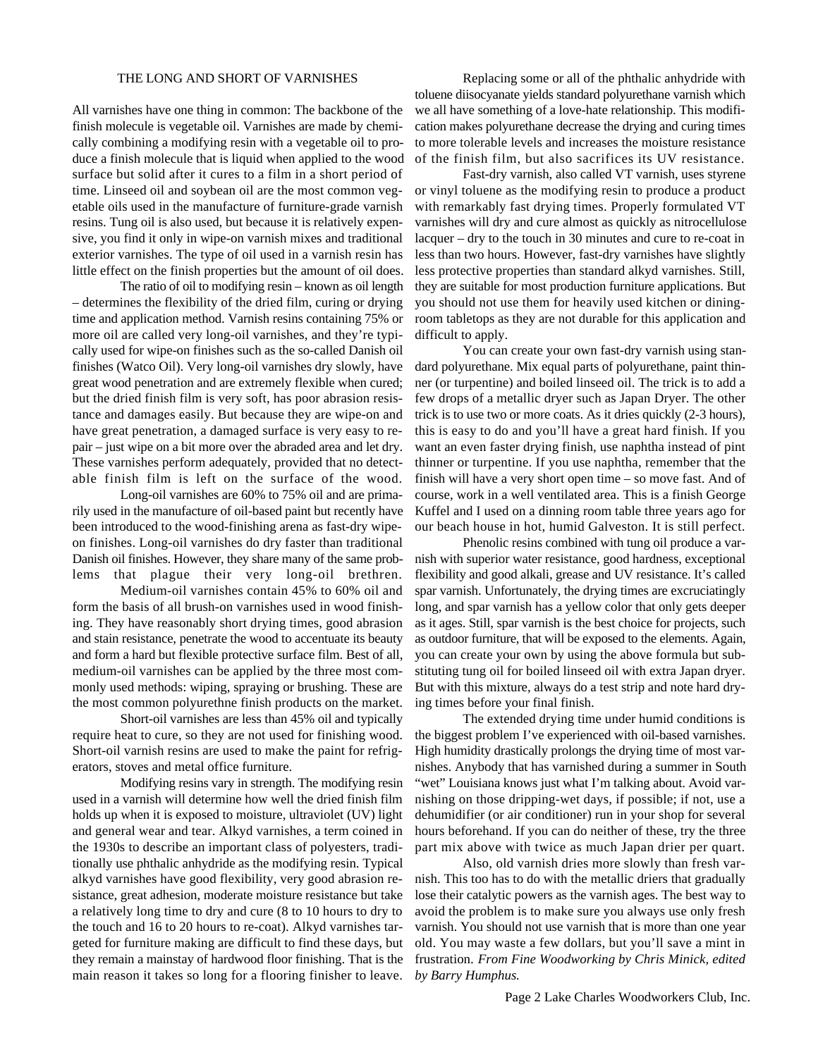### THE LONG AND SHORT OF VARNISHES

All varnishes have one thing in common: The backbone of the finish molecule is vegetable oil. Varnishes are made by chemically combining a modifying resin with a vegetable oil to produce a finish molecule that is liquid when applied to the wood surface but solid after it cures to a film in a short period of time. Linseed oil and soybean oil are the most common vegetable oils used in the manufacture of furniture-grade varnish resins. Tung oil is also used, but because it is relatively expensive, you find it only in wipe-on varnish mixes and traditional exterior varnishes. The type of oil used in a varnish resin has little effect on the finish properties but the amount of oil does.

The ratio of oil to modifying resin – known as oil length – determines the flexibility of the dried film, curing or drying time and application method. Varnish resins containing 75% or more oil are called very long-oil varnishes, and they're typically used for wipe-on finishes such as the so-called Danish oil finishes (Watco Oil). Very long-oil varnishes dry slowly, have great wood penetration and are extremely flexible when cured; but the dried finish film is very soft, has poor abrasion resistance and damages easily. But because they are wipe-on and have great penetration, a damaged surface is very easy to repair – just wipe on a bit more over the abraded area and let dry. These varnishes perform adequately, provided that no detectable finish film is left on the surface of the wood.

Long-oil varnishes are 60% to 75% oil and are primarily used in the manufacture of oil-based paint but recently have been introduced to the wood-finishing arena as fast-dry wipeon finishes. Long-oil varnishes do dry faster than traditional Danish oil finishes. However, they share many of the same problems that plague their very long-oil brethren.

Medium-oil varnishes contain 45% to 60% oil and form the basis of all brush-on varnishes used in wood finishing. They have reasonably short drying times, good abrasion and stain resistance, penetrate the wood to accentuate its beauty and form a hard but flexible protective surface film. Best of all, medium-oil varnishes can be applied by the three most commonly used methods: wiping, spraying or brushing. These are the most common polyurethne finish products on the market.

Short-oil varnishes are less than 45% oil and typically require heat to cure, so they are not used for finishing wood. Short-oil varnish resins are used to make the paint for refrigerators, stoves and metal office furniture.

Modifying resins vary in strength. The modifying resin used in a varnish will determine how well the dried finish film holds up when it is exposed to moisture, ultraviolet (UV) light and general wear and tear. Alkyd varnishes, a term coined in the 1930s to describe an important class of polyesters, traditionally use phthalic anhydride as the modifying resin. Typical alkyd varnishes have good flexibility, very good abrasion resistance, great adhesion, moderate moisture resistance but take a relatively long time to dry and cure (8 to 10 hours to dry to the touch and 16 to 20 hours to re-coat). Alkyd varnishes targeted for furniture making are difficult to find these days, but they remain a mainstay of hardwood floor finishing. That is the main reason it takes so long for a flooring finisher to leave.

Replacing some or all of the phthalic anhydride with toluene diisocyanate yields standard polyurethane varnish which we all have something of a love-hate relationship. This modification makes polyurethane decrease the drying and curing times to more tolerable levels and increases the moisture resistance of the finish film, but also sacrifices its UV resistance.

Fast-dry varnish, also called VT varnish, uses styrene or vinyl toluene as the modifying resin to produce a product with remarkably fast drying times. Properly formulated VT varnishes will dry and cure almost as quickly as nitrocellulose lacquer – dry to the touch in 30 minutes and cure to re-coat in less than two hours. However, fast-dry varnishes have slightly less protective properties than standard alkyd varnishes. Still, they are suitable for most production furniture applications. But you should not use them for heavily used kitchen or diningroom tabletops as they are not durable for this application and difficult to apply.

You can create your own fast-dry varnish using standard polyurethane. Mix equal parts of polyurethane, paint thinner (or turpentine) and boiled linseed oil. The trick is to add a few drops of a metallic dryer such as Japan Dryer. The other trick is to use two or more coats. As it dries quickly (2-3 hours), this is easy to do and you'll have a great hard finish. If you want an even faster drying finish, use naphtha instead of pint thinner or turpentine. If you use naphtha, remember that the finish will have a very short open time – so move fast. And of course, work in a well ventilated area. This is a finish George Kuffel and I used on a dinning room table three years ago for our beach house in hot, humid Galveston. It is still perfect.

Phenolic resins combined with tung oil produce a varnish with superior water resistance, good hardness, exceptional flexibility and good alkali, grease and UV resistance. It's called spar varnish. Unfortunately, the drying times are excruciatingly long, and spar varnish has a yellow color that only gets deeper as it ages. Still, spar varnish is the best choice for projects, such as outdoor furniture, that will be exposed to the elements. Again, you can create your own by using the above formula but substituting tung oil for boiled linseed oil with extra Japan dryer. But with this mixture, always do a test strip and note hard drying times before your final finish.

The extended drying time under humid conditions is the biggest problem I've experienced with oil-based varnishes. High humidity drastically prolongs the drying time of most varnishes. Anybody that has varnished during a summer in South "wet" Louisiana knows just what I'm talking about. Avoid varnishing on those dripping-wet days, if possible; if not, use a dehumidifier (or air conditioner) run in your shop for several hours beforehand. If you can do neither of these, try the three part mix above with twice as much Japan drier per quart.

Also, old varnish dries more slowly than fresh varnish. This too has to do with the metallic driers that gradually lose their catalytic powers as the varnish ages. The best way to avoid the problem is to make sure you always use only fresh varnish. You should not use varnish that is more than one year old. You may waste a few dollars, but you'll save a mint in frustration. *From Fine Woodworking by Chris Minick, edited by Barry Humphus.*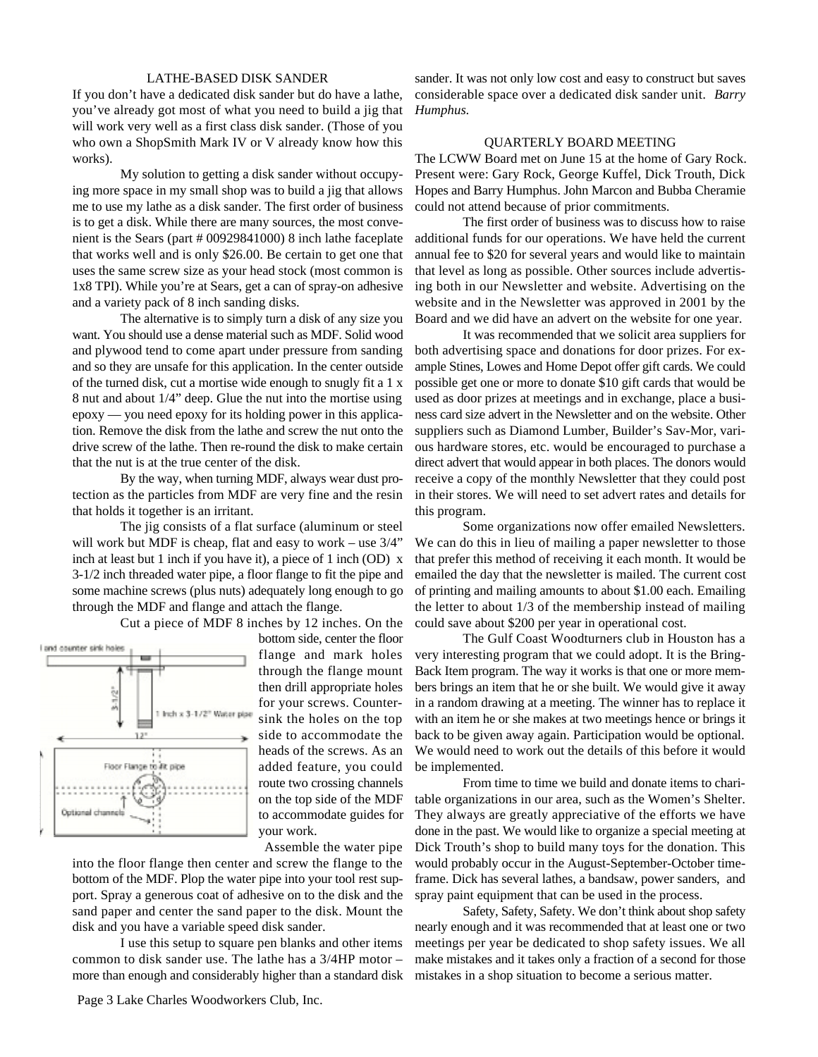#### LATHE-BASED DISK SANDER

If you don't have a dedicated disk sander but do have a lathe, you've already got most of what you need to build a jig that will work very well as a first class disk sander. (Those of you who own a ShopSmith Mark IV or V already know how this works).

My solution to getting a disk sander without occupying more space in my small shop was to build a jig that allows me to use my lathe as a disk sander. The first order of business is to get a disk. While there are many sources, the most convenient is the Sears (part # 00929841000) 8 inch lathe faceplate that works well and is only \$26.00. Be certain to get one that uses the same screw size as your head stock (most common is 1x8 TPI). While you're at Sears, get a can of spray-on adhesive and a variety pack of 8 inch sanding disks.

The alternative is to simply turn a disk of any size you want. You should use a dense material such as MDF. Solid wood and plywood tend to come apart under pressure from sanding and so they are unsafe for this application. In the center outside of the turned disk, cut a mortise wide enough to snugly fit a 1 x 8 nut and about 1/4" deep. Glue the nut into the mortise using epoxy — you need epoxy for its holding power in this application. Remove the disk from the lathe and screw the nut onto the drive screw of the lathe. Then re-round the disk to make certain that the nut is at the true center of the disk.

By the way, when turning MDF, always wear dust protection as the particles from MDF are very fine and the resin that holds it together is an irritant.

The jig consists of a flat surface (aluminum or steel will work but MDF is cheap, flat and easy to work – use 3/4" inch at least but 1 inch if you have it), a piece of 1 inch (OD) x 3-1/2 inch threaded water pipe, a floor flange to fit the pipe and some machine screws (plus nuts) adequately long enough to go through the MDF and flange and attach the flange.

Cut a piece of MDF 8 inches by 12 inches. On the



bottom side, center the floor flange and mark holes through the flange mount then drill appropriate holes for your screws. Countersink the holes on the top side to accommodate the heads of the screws. As an added feature, you could route two crossing channels on the top side of the MDF to accommodate guides for your work.

Assemble the water pipe

into the floor flange then center and screw the flange to the bottom of the MDF. Plop the water pipe into your tool rest support. Spray a generous coat of adhesive on to the disk and the sand paper and center the sand paper to the disk. Mount the disk and you have a variable speed disk sander.

I use this setup to square pen blanks and other items common to disk sander use. The lathe has a 3/4HP motor – more than enough and considerably higher than a standard disk sander. It was not only low cost and easy to construct but saves considerable space over a dedicated disk sander unit. *Barry Humphus*.

#### QUARTERLY BOARD MEETING

The LCWW Board met on June 15 at the home of Gary Rock. Present were: Gary Rock, George Kuffel, Dick Trouth, Dick Hopes and Barry Humphus. John Marcon and Bubba Cheramie could not attend because of prior commitments.

The first order of business was to discuss how to raise additional funds for our operations. We have held the current annual fee to \$20 for several years and would like to maintain that level as long as possible. Other sources include advertising both in our Newsletter and website. Advertising on the website and in the Newsletter was approved in 2001 by the Board and we did have an advert on the website for one year.

It was recommended that we solicit area suppliers for both advertising space and donations for door prizes. For example Stines, Lowes and Home Depot offer gift cards. We could possible get one or more to donate \$10 gift cards that would be used as door prizes at meetings and in exchange, place a business card size advert in the Newsletter and on the website. Other suppliers such as Diamond Lumber, Builder's Sav-Mor, various hardware stores, etc. would be encouraged to purchase a direct advert that would appear in both places. The donors would receive a copy of the monthly Newsletter that they could post in their stores. We will need to set advert rates and details for this program.

Some organizations now offer emailed Newsletters. We can do this in lieu of mailing a paper newsletter to those that prefer this method of receiving it each month. It would be emailed the day that the newsletter is mailed. The current cost of printing and mailing amounts to about \$1.00 each. Emailing the letter to about 1/3 of the membership instead of mailing could save about \$200 per year in operational cost.

The Gulf Coast Woodturners club in Houston has a very interesting program that we could adopt. It is the Bring-Back Item program. The way it works is that one or more members brings an item that he or she built. We would give it away in a random drawing at a meeting. The winner has to replace it with an item he or she makes at two meetings hence or brings it back to be given away again. Participation would be optional. We would need to work out the details of this before it would be implemented.

From time to time we build and donate items to charitable organizations in our area, such as the Women's Shelter. They always are greatly appreciative of the efforts we have done in the past. We would like to organize a special meeting at Dick Trouth's shop to build many toys for the donation. This would probably occur in the August-September-October timeframe. Dick has several lathes, a bandsaw, power sanders, and spray paint equipment that can be used in the process.

Safety, Safety, Safety. We don't think about shop safety nearly enough and it was recommended that at least one or two meetings per year be dedicated to shop safety issues. We all make mistakes and it takes only a fraction of a second for those mistakes in a shop situation to become a serious matter.